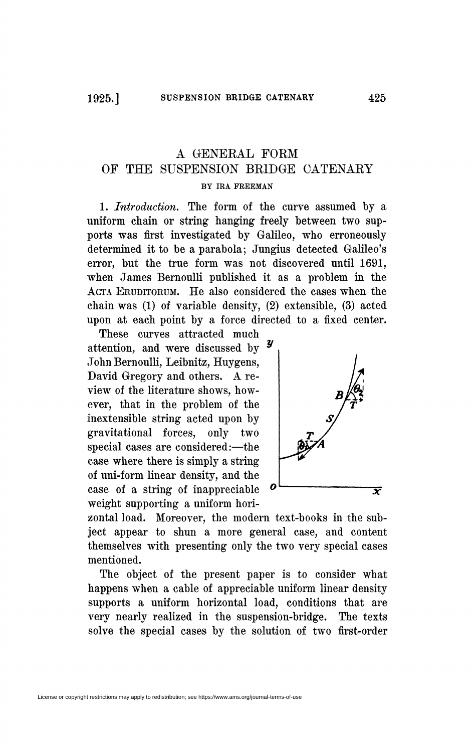## A GENERAL FORM OF THE SUSPENSION BRIDGE CATENARY BY IRA FREEMAN

1. *Introduction.* The form of the curve assumed by a uniform chain or string hanging freely between two supports was first investigated by Galileo, who erroneously determined it to be a parabola; Jungius detected Galileo's error, but the true form was not discovered until 1691, when James Bernoulli published it as a problem in the ACTA ERUDITORUM. He also considered the cases when the chain was (1) of variable density, (2) extensible, (3) acted upon at each point by a force directed to a fixed center.

These curves attracted much attention, and were discussed by John Bernoulli, Leibnitz, Huygens, David Gregory and others. A review of the literature shows, however, that in the problem of the inextensible string acted upon by gravitational forces, only two special cases are considered:—the case where there is simply a string of uni-form linear density, and the case of a string of inappreciable *°<sup>v</sup>* weight supporting a uniform hori-



zontal load. Moreover, the modern text-books in the subject appear to shun a more general case, and content themselves with presenting only the two very special cases mentioned.

The object of the present paper is to consider what happens when a cable of appreciable uniform linear density supports a uniform horizontal load, conditions that are very nearly realized in the suspension-bridge. The texts solve the special cases by the solution of two first-order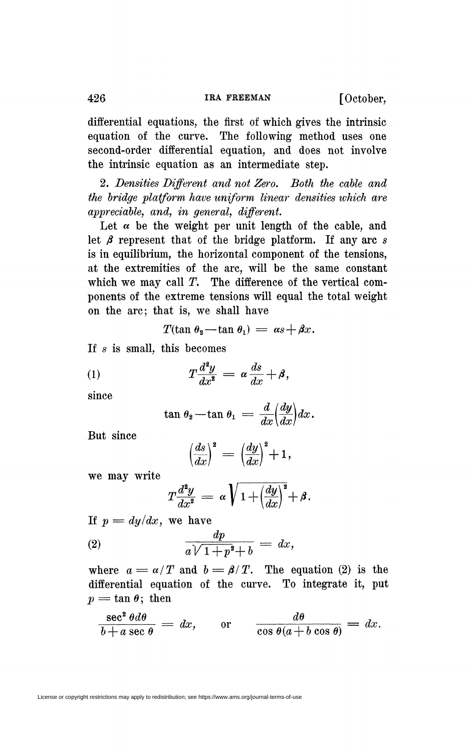426 **IRA FREEMAN** [October,

differential equations, the first of which gives the intrinsic equation of the curve. The following method uses one second-order differential equation, and does not involve the intrinsic equation as an intermediate step.

2. *Densities Different and not Zero. Both the cable and the bridge platform have uniform linear densities ivhich are appreciable, and, in general, different.* 

Let  $\alpha$  be the weight per unit length of the cable, and let  $\beta$  represent that of the bridge platform. If any arc s is in equilibrium, the horizontal component of the tensions, at the extremities of the arc, will be the same constant which we may call  $T$ . The difference of the vertical components of the extreme tensions will equal the total weight on the arc; that is, we shall have

$$
T(\tan \theta_2 - \tan \theta_1) = \alpha s + \beta x.
$$

If *s* is small, this becomes

$$
(1) \hspace{1cm} T \frac{d^2 y}{dx^2} = \alpha \frac{ds}{dx} + \beta,
$$

since

$$
\tan \theta_2 - \tan \theta_1 = \frac{d}{dx} \left( \frac{dy}{dx} \right) dx.
$$

But since

$$
\left(\frac{ds}{dx}\right)^2 = \left(\frac{dy}{dx}\right)^2 + 1,
$$

we may write

$$
T\frac{d^2y}{dx^2} = \alpha \sqrt{1 + \left(\frac{dy}{dx}\right)^2} + \beta.
$$

If  $p = dy/dx$ , we have

$$
\frac{dp}{a\sqrt{1+p^2}+b} = dx,
$$

where  $a = \alpha/T$  and  $b = \beta/T$ . The equation (2) is the differential equation of the curve. To integrate it, put  $p = \tan \theta$ ; then

$$
\frac{\sec^2 \theta d\theta}{b+a \sec \theta} = dx, \quad \text{or} \quad \frac{d\theta}{\cos \theta (a+b \cos \theta)} = dx.
$$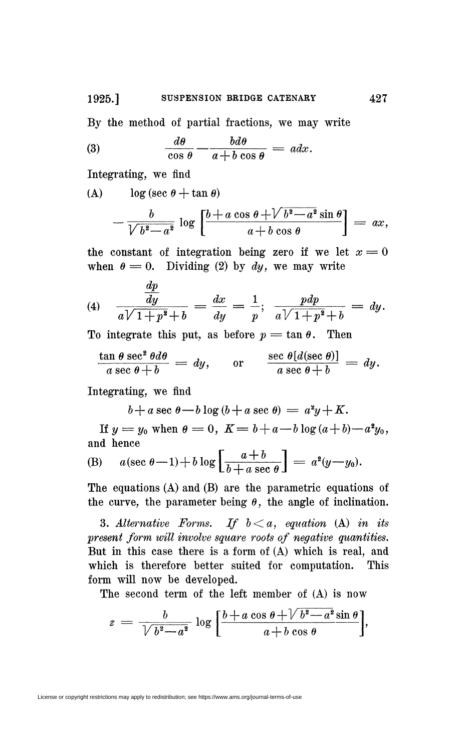By the method of partial fractions, we may write

(3) 
$$
\frac{d\theta}{\cos\theta} - \frac{b d\theta}{a + b \cos\theta} = a dx
$$

Integrating, we find

(A)  $\log (\sec \theta + \tan \theta)$ 

$$
-\frac{b}{\sqrt{b^2-a^2}}\log\left[\frac{b+a\cos\theta+\sqrt{b^2-a^2}\sin\theta}{a+b\cos\theta}\right]=ax,
$$

the constant of integration being zero if we let  $x = 0$ when  $\theta = 0$ . Dividing (2) by dy, we may write

(4) 
$$
\frac{\frac{dp}{dy}}{a\sqrt{1+p^2}+b} = \frac{dx}{dy} = \frac{1}{p}; \frac{pdp}{a\sqrt{1+p^2}+b} = dy.
$$

To integrate this put, as before  $p = \tan \theta$ . Then

$$
\frac{\tan \theta \sec^2 \theta d\theta}{a \sec \theta + b} = dy, \quad \text{or} \quad \frac{\sec \theta [d(\sec \theta)]}{a \sec \theta + b} = dy.
$$

 $\cdots$  second  $\cdots$   $\cdots$   $\cdots$   $\cdots$   $\cdots$   $\cdots$   $\cdots$   $\cdots$   $\cdots$   $\cdots$   $\cdots$   $\cdots$   $\cdots$   $\cdots$   $\cdots$   $\cdots$   $\cdots$   $\cdots$   $\cdots$   $\cdots$   $\cdots$   $\cdots$   $\cdots$   $\cdots$   $\cdots$   $\cdots$   $\cdots$   $\cdots$   $\cdots$   $\cdots$   $\cdots$   $\cdots$   $\cdots$   $\cdots$   $\cdots$ Integrating, we find

 $b+a \sec \theta - b \log (b + a \sec \theta) = a^2y + K.$ 

*lf*  $y = y_0$  when  $\theta = 0$ ,  $K = b + a - b \log(a + b) - a^2 y_0$ , and hence

(B) 
$$
a(\sec \theta - 1) + b \log \left[\frac{a+b}{b+a \sec \theta}\right] = a^2(y-y_0).
$$

The equations (A) and (B) are the parametric equations of the curve, the parameter being  $\theta$ , the angle of inclination.

3. Alternative Forms. If  $b < a$ , equation (A) in its *present form will involve square roots of negative quantities.*  But in this case there is a form of (A) which is real, and which is therefore better suited for computation. This form will now be developed.

The second term of the left member of (A) is now

$$
z = \frac{b}{\sqrt{b^2 - a^2}} \log \left[ \frac{b + a \cos \theta + \sqrt{b^2 - a^2} \sin \theta}{a + b \cos \theta} \right],
$$

License or copyright restrictions may apply to redistribution; see https://www.ams.org/journal-terms-of-use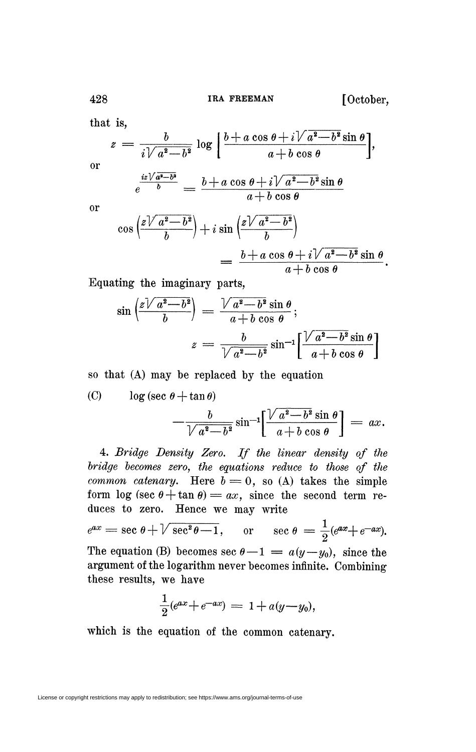that is,

428

$$
z = \frac{b}{i\sqrt{a^2 - b^2}} \log \left[ \frac{b + a \cos \theta + i\sqrt{a^2 - b^2} \sin \theta}{a + b \cos \theta} \right],
$$
  
or  

$$
\frac{iz\sqrt{a^2 - b^2}}{b} = \frac{b + a \cos \theta + i\sqrt{a^2 - b^2} \sin \theta}{a + b \cos \theta}
$$

or

$$
\cos\left(\frac{z\sqrt{a^2-b^2}}{b}\right) + i\sin\left(\frac{z\sqrt{a^2-b^2}}{b}\right)
$$
  
= 
$$
\frac{b+a\cos\theta + i\sqrt{a^2-b^2}\sin\theta}{a+b\cos\theta}.
$$

Equating the imaginary parts,

$$
\sin\left(\frac{z\sqrt{a^2-b^2}}{b}\right) = \frac{\sqrt{a^2-b^2}\sin\theta}{a+b\cos\theta};
$$

$$
z = \frac{b}{\sqrt{a^2-b^2}}\sin^{-1}\left[\frac{\sqrt{a^2-b^2}\sin\theta}{a+b\cos\theta}\right]
$$

so that (A) may be replaced by the equation

(C) 
$$
\log(\sec \theta + \tan \theta)
$$

$$
-\frac{b}{\sqrt{a^2-b^2}}\sin^{-1}\left[\frac{\sqrt{a^2-b^2}\sin\theta}{a+b\cos\theta}\right]=ax.
$$

4. *Bridge Density Zero. If the linear density of the bridge becomes zero, the equations reduce to those of the common catenary.* Here  $b = 0$ , so (A) takes the simple form  $\log (\sec \theta + \tan \theta) = ax$ , since the second term reduces to zero. Hence we may write

$$
e^{ax} = \sec \theta + \sqrt{\sec^2 \theta - 1}
$$
, or  $\sec \theta = \frac{1}{2}(e^{ax} + e^{-ax})$ .

The equation (B) becomes sec  $\sigma - 1 = a(y - y_0)$ , since the argument of the logarithm never becomes infinite. Combining these results, we have

$$
\frac{1}{2}(e^{ax} + e^{-ax}) = 1 + a(y - y_0),
$$

which is the equation of the common catenary.